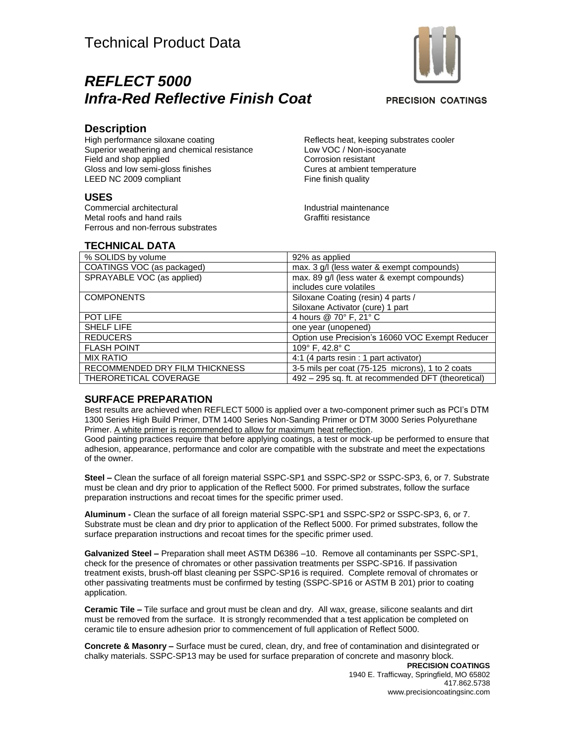## *REFLECT 5000 Infra-Red Reflective Finish Coat*

**PRECISION COATINGS** 

#### **Description**

High performance siloxane coating Superior weathering and chemical resistance Field and shop applied Gloss and low semi-gloss finishes LEED NC 2009 compliant

#### **USES**

Commercial architectural Metal roofs and hand rails Ferrous and non-ferrous substrates Reflects heat, keeping substrates cooler Low VOC / Non-isocyanate Corrosion resistant Cures at ambient temperature Fine finish quality

Industrial maintenance Graffiti resistance

### **TECHNICAL DATA**

| % SOLIDS by volume             | 92% as applied                                     |
|--------------------------------|----------------------------------------------------|
| COATINGS VOC (as packaged)     | max. 3 g/l (less water & exempt compounds)         |
| SPRAYABLE VOC (as applied)     | max. 89 g/l (less water & exempt compounds)        |
|                                | includes cure volatiles                            |
| <b>COMPONENTS</b>              | Siloxane Coating (resin) 4 parts /                 |
|                                | Siloxane Activator (cure) 1 part                   |
| <b>POT LIFE</b>                | 4 hours @ 70° F, 21° C                             |
| <b>SHELF LIFE</b>              | one year (unopened)                                |
| <b>REDUCERS</b>                | Option use Precision's 16060 VOC Exempt Reducer    |
| <b>FLASH POINT</b>             | 109° F, 42.8° C                                    |
| <b>MIX RATIO</b>               | 4:1 (4 parts resin : 1 part activator)             |
| RECOMMENDED DRY FILM THICKNESS | 3-5 mils per coat (75-125 microns), 1 to 2 coats   |
| THERORETICAL COVERAGE          | 492 - 295 sq. ft. at recommended DFT (theoretical) |

#### **SURFACE PREPARATION**

Best results are achieved when REFLECT 5000 is applied over a two-component primer such as PCI's DTM 1300 Series High Build Primer, DTM 1400 Series Non-Sanding Primer or DTM 3000 Series Polyurethane Primer. A white primer is recommended to allow for maximum heat reflection.

Good painting practices require that before applying coatings, a test or mock-up be performed to ensure that adhesion, appearance, performance and color are compatible with the substrate and meet the expectations of the owner.

**Steel –** Clean the surface of all foreign material SSPC-SP1 and SSPC-SP2 or SSPC-SP3, 6, or 7. Substrate must be clean and dry prior to application of the Reflect 5000. For primed substrates, follow the surface preparation instructions and recoat times for the specific primer used.

**Aluminum -** Clean the surface of all foreign material SSPC-SP1 and SSPC-SP2 or SSPC-SP3, 6, or 7. Substrate must be clean and dry prior to application of the Reflect 5000. For primed substrates, follow the surface preparation instructions and recoat times for the specific primer used.

**Galvanized Steel –** Preparation shall meet ASTM D6386 –10. Remove all contaminants per SSPC-SP1, check for the presence of chromates or other passivation treatments per SSPC-SP16. If passivation treatment exists, brush-off blast cleaning per SSPC-SP16 is required. Complete removal of chromates or other passivating treatments must be confirmed by testing (SSPC-SP16 or ASTM B 201) prior to coating application.

**Ceramic Tile –** Tile surface and grout must be clean and dry. All wax, grease, silicone sealants and dirt must be removed from the surface. It is strongly recommended that a test application be completed on ceramic tile to ensure adhesion prior to commencement of full application of Reflect 5000.

**Concrete & Masonry –** Surface must be cured, clean, dry, and free of contamination and disintegrated or chalky materials. SSPC-SP13 may be used for surface preparation of concrete and masonry block.